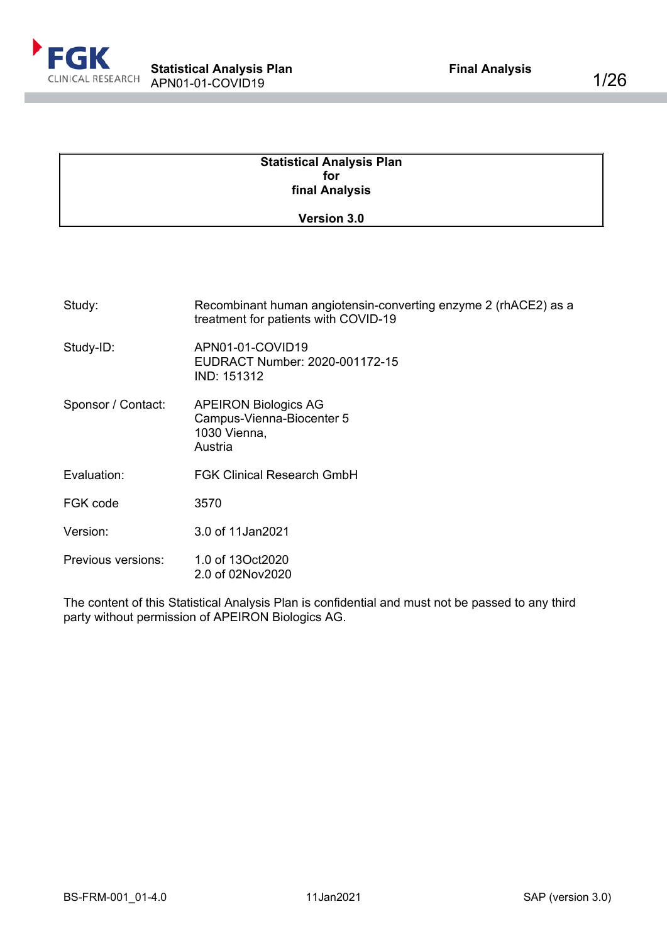

| <b>Statistical Analysis Plan</b> |  |
|----------------------------------|--|
| for                              |  |
| final Analysis                   |  |
| <b>Version 3.0</b>               |  |

| Study:             | Recombinant human angiotensin-converting enzyme 2 (rhACE2) as a<br>treatment for patients with COVID-19 |
|--------------------|---------------------------------------------------------------------------------------------------------|
| Study-ID:          | APN01-01-COVID19<br>EUDRACT Number: 2020-001172-15<br>IND: 151312                                       |
| Sponsor / Contact: | <b>APEIRON Biologics AG</b><br>Campus-Vienna-Biocenter 5<br>1030 Vienna,<br>Austria                     |
| Evaluation:        | <b>FGK Clinical Research GmbH</b>                                                                       |
| FGK code           | 3570                                                                                                    |
| Version:           | 3.0 of 11Jan2021                                                                                        |
| Previous versions: | 1.0 of 13Oct2020<br>2.0 of 02Nov2020                                                                    |
|                    | The contrated this Atolicii Aughsis Black confidential and smaller in a correlate and the               |

The content of this Statistical Analysis Plan is confidential and must not be passed to any third party without permission of APEIRON Biologics AG.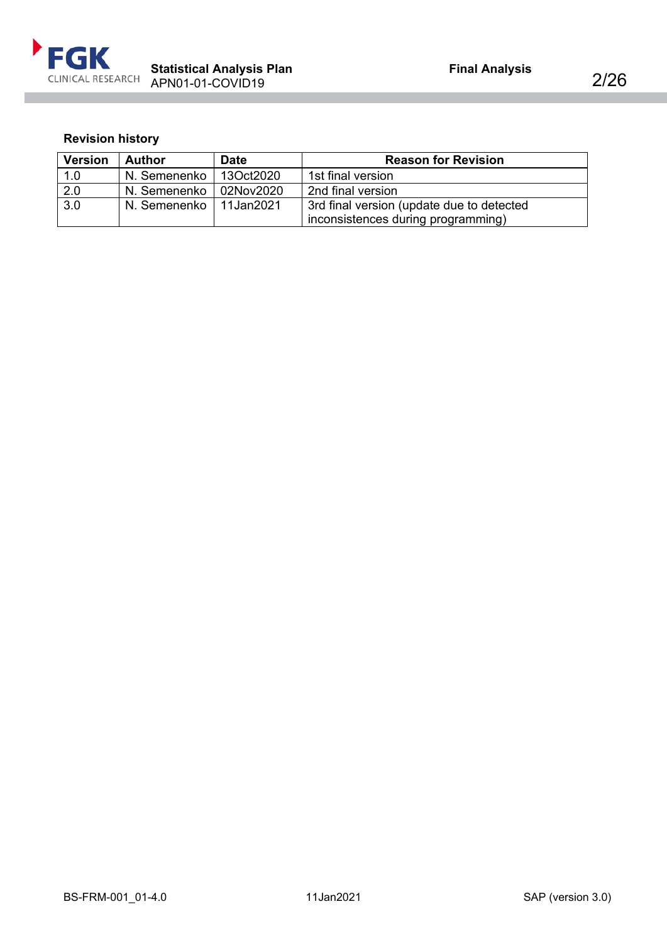

# <span id="page-1-0"></span>**Revision history**

| <b>Version</b> | <b>Author</b>  | <b>Date</b> | <b>Reason for Revision</b>                |
|----------------|----------------|-------------|-------------------------------------------|
| 1.0            | N. Semenenko   | 13Oct2020   | 1st final version                         |
| 2.0            | N. Semenenko   | 02Nov2020   | 2nd final version                         |
| 3.0            | N. Semenenko I | 11Jan2021   | 3rd final version (update due to detected |
|                |                |             | inconsistences during programming)        |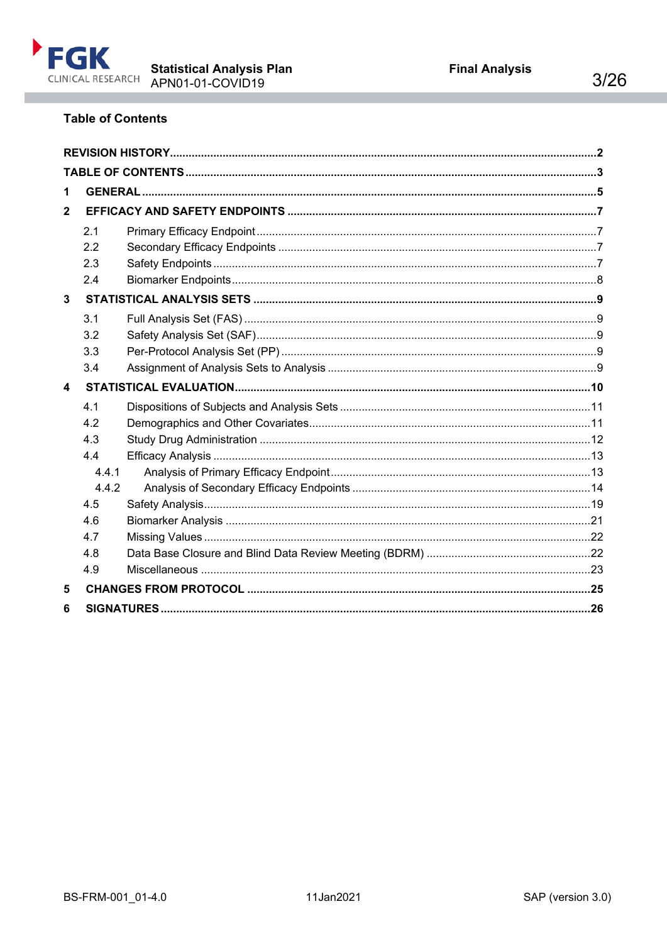

# <span id="page-2-0"></span>**Table of Contents**

| 1                |       |  |
|------------------|-------|--|
| $\overline{2}$   |       |  |
|                  | 2.1   |  |
|                  | 2.2   |  |
|                  | 2.3   |  |
|                  | 2.4   |  |
| 3                |       |  |
|                  | 3.1   |  |
|                  | 3.2   |  |
|                  | 3.3   |  |
|                  | 3.4   |  |
| $\blacktriangle$ |       |  |
|                  | 4.1   |  |
|                  | 4.2   |  |
|                  | 4.3   |  |
|                  | 4.4   |  |
|                  | 4.4.1 |  |
|                  | 4.4.2 |  |
|                  | 4.5   |  |
|                  | 4.6   |  |
|                  | 4.7   |  |
|                  | 4.8   |  |
|                  | 4.9   |  |
| 5                |       |  |
| 6                |       |  |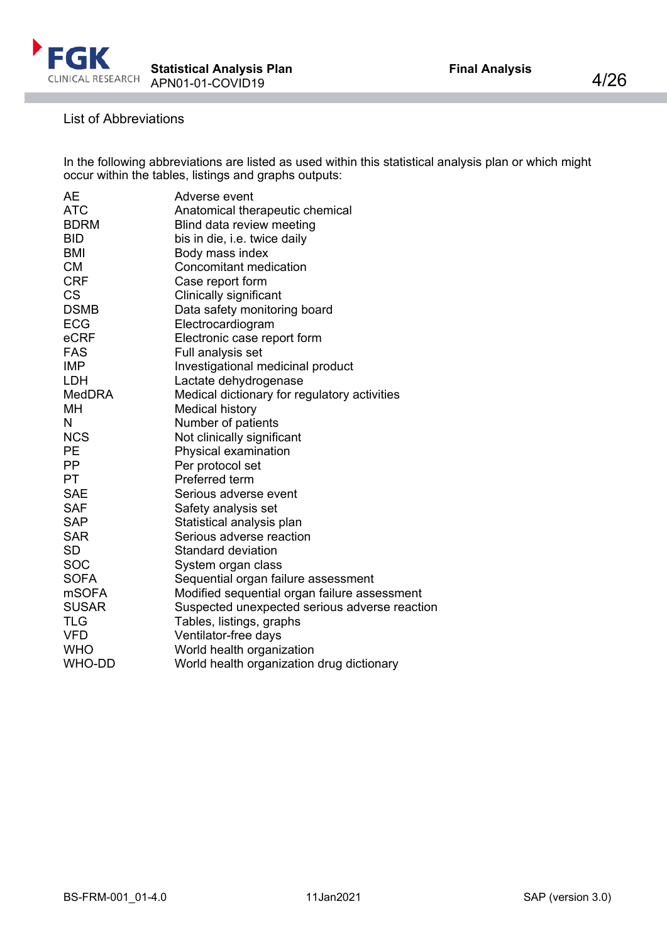

## List of Abbreviations

In the following abbreviations are listed as used within this statistical analysis plan or which might occur within the tables, listings and graphs outputs:

| AE            | Adverse event                                 |
|---------------|-----------------------------------------------|
| <b>ATC</b>    | Anatomical therapeutic chemical               |
| <b>BDRM</b>   | Blind data review meeting                     |
| <b>BID</b>    | bis in die, i.e. twice daily                  |
| <b>BMI</b>    | Body mass index                               |
| <b>CM</b>     | Concomitant medication                        |
| <b>CRF</b>    | Case report form                              |
| <b>CS</b>     | Clinically significant                        |
| <b>DSMB</b>   | Data safety monitoring board                  |
| <b>ECG</b>    | Electrocardiogram                             |
| eCRF          | Electronic case report form                   |
| <b>FAS</b>    | Full analysis set                             |
| <b>IMP</b>    | Investigational medicinal product             |
| <b>LDH</b>    | Lactate dehydrogenase                         |
| <b>MedDRA</b> | Medical dictionary for regulatory activities  |
| MН            | <b>Medical history</b>                        |
| N             | Number of patients                            |
| <b>NCS</b>    | Not clinically significant                    |
| PE            | Physical examination                          |
| PP            | Per protocol set                              |
| PT            | Preferred term                                |
| <b>SAE</b>    | Serious adverse event                         |
| <b>SAF</b>    | Safety analysis set                           |
| <b>SAP</b>    | Statistical analysis plan                     |
| <b>SAR</b>    | Serious adverse reaction                      |
| <b>SD</b>     | Standard deviation                            |
| SOC           | System organ class                            |
| <b>SOFA</b>   | Sequential organ failure assessment           |
| <b>mSOFA</b>  | Modified sequential organ failure assessment  |
| <b>SUSAR</b>  | Suspected unexpected serious adverse reaction |
| <b>TLG</b>    | Tables, listings, graphs                      |
| <b>VFD</b>    | Ventilator-free days                          |
| <b>WHO</b>    | World health organization                     |
| <b>WHO-DD</b> | World health organization drug dictionary     |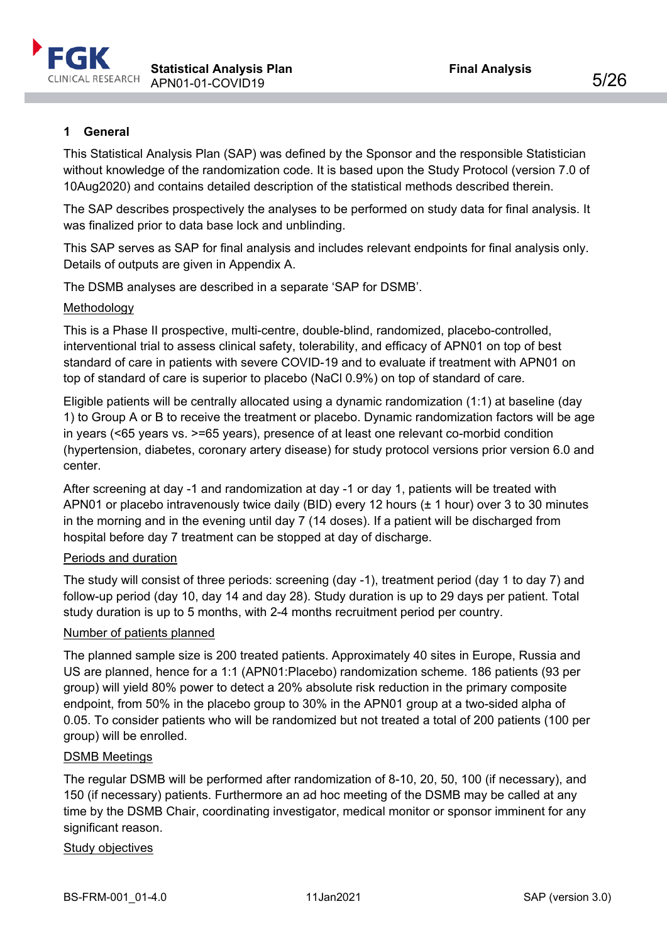

## <span id="page-4-0"></span>**1 General**

This Statistical Analysis Plan (SAP) was defined by the Sponsor and the responsible Statistician without knowledge of the randomization code. It is based upon the Study Protocol (version 7.0 of 10Aug2020) and contains detailed description of the statistical methods described therein.

The SAP describes prospectively the analyses to be performed on study data for final analysis. It was finalized prior to data base lock and unblinding.

This SAP serves as SAP for final analysis and includes relevant endpoints for final analysis only. Details of outputs are given in Appendix A.

The DSMB analyses are described in a separate 'SAP for DSMB'.

#### Methodology

This is a Phase II prospective, multi-centre, double-blind, randomized, placebo-controlled, interventional trial to assess clinical safety, tolerability, and efficacy of APN01 on top of best standard of care in patients with severe COVID-19 and to evaluate if treatment with APN01 on top of standard of care is superior to placebo (NaCl 0.9%) on top of standard of care.

Eligible patients will be centrally allocated using a dynamic randomization (1:1) at baseline (day 1) to Group A or B to receive the treatment or placebo. Dynamic randomization factors will be age in years (<65 years vs. >=65 years), presence of at least one relevant co-morbid condition (hypertension, diabetes, coronary artery disease) for study protocol versions prior version 6.0 and center.

After screening at day -1 and randomization at day -1 or day 1, patients will be treated with APN01 or placebo intravenously twice daily (BID) every 12 hours (± 1 hour) over 3 to 30 minutes in the morning and in the evening until day 7 (14 doses). If a patient will be discharged from hospital before day 7 treatment can be stopped at day of discharge.

#### Periods and duration

The study will consist of three periods: screening (day -1), treatment period (day 1 to day 7) and follow-up period (day 10, day 14 and day 28). Study duration is up to 29 days per patient. Total study duration is up to 5 months, with 2-4 months recruitment period per country.

#### Number of patients planned

The planned sample size is 200 treated patients. Approximately 40 sites in Europe, Russia and US are planned, hence for a 1:1 (APN01:Placebo) randomization scheme. 186 patients (93 per group) will yield 80% power to detect a 20% absolute risk reduction in the primary composite endpoint, from 50% in the placebo group to 30% in the APN01 group at a two-sided alpha of 0.05. To consider patients who will be randomized but not treated a total of 200 patients (100 per group) will be enrolled.

#### DSMB Meetings

The regular DSMB will be performed after randomization of 8-10, 20, 50, 100 (if necessary), and 150 (if necessary) patients. Furthermore an ad hoc meeting of the DSMB may be called at any time by the DSMB Chair, coordinating investigator, medical monitor or sponsor imminent for any significant reason.

#### Study objectives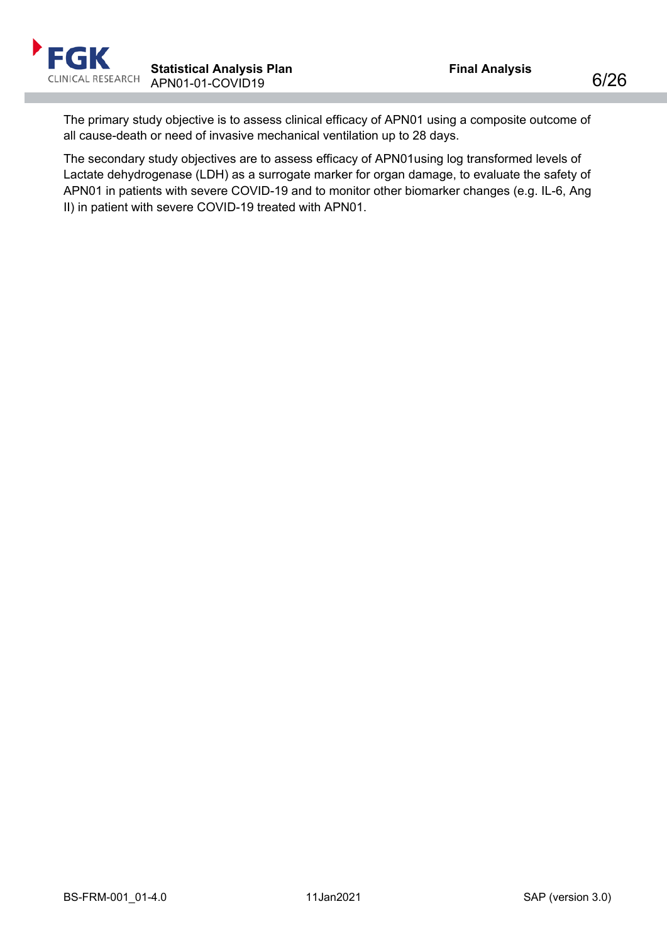The primary study objective is to assess clinical efficacy of APN01 using a composite outcome of all cause-death or need of invasive mechanical ventilation up to 28 days.

The secondary study objectives are to assess efficacy of APN01using log transformed levels of Lactate dehydrogenase (LDH) as a surrogate marker for organ damage, to evaluate the safety of APN01 in patients with severe COVID-19 and to monitor other biomarker changes (e.g. IL-6, Ang II) in patient with severe COVID-19 treated with APN01.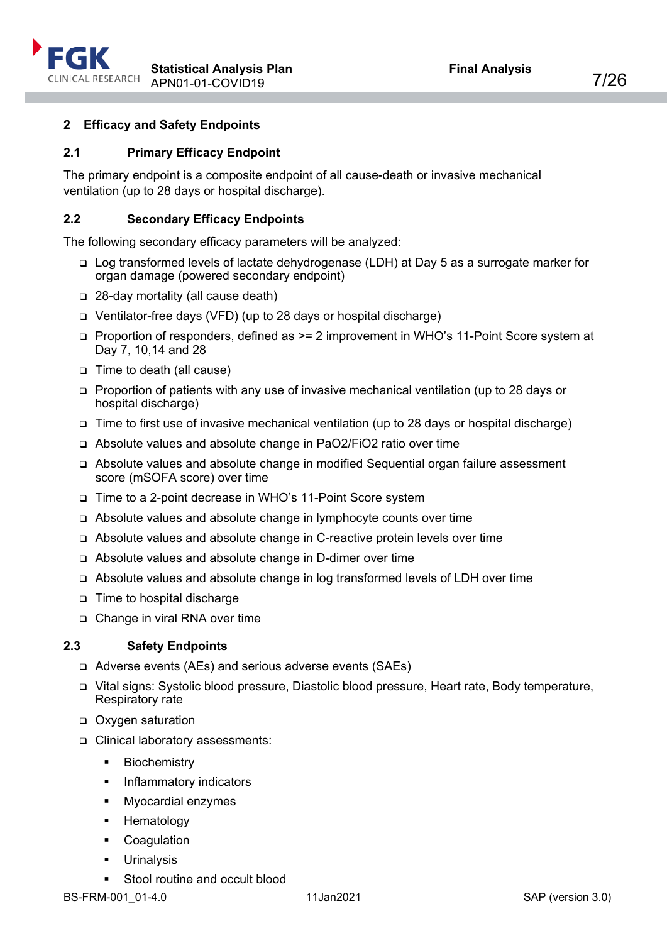

## <span id="page-6-0"></span>**2 Efficacy and Safety Endpoints**

## <span id="page-6-1"></span>**2.1 Primary Efficacy Endpoint**

The primary endpoint is a composite endpoint of all cause-death or invasive mechanical ventilation (up to 28 days or hospital discharge).

#### <span id="page-6-2"></span>**2.2 Secondary Efficacy Endpoints**

The following secondary efficacy parameters will be analyzed:

- Log transformed levels of lactate dehydrogenase (LDH) at Day 5 as a surrogate marker for organ damage (powered secondary endpoint)
- 28-day mortality (all cause death)
- Ventilator-free days (VFD) (up to 28 days or hospital discharge)
- Proportion of responders, defined as >= 2 improvement in WHO's 11-Point Score system at Day 7, 10,14 and 28
- Time to death (all cause)
- Proportion of patients with any use of invasive mechanical ventilation (up to 28 days or hospital discharge)
- □ Time to first use of invasive mechanical ventilation (up to 28 days or hospital discharge)
- Absolute values and absolute change in PaO2/FiO2 ratio over time
- Absolute values and absolute change in modified Sequential organ failure assessment score (mSOFA score) over time
- □ Time to a 2-point decrease in WHO's 11-Point Score system
- Absolute values and absolute change in lymphocyte counts over time
- Absolute values and absolute change in C-reactive protein levels over time
- Absolute values and absolute change in D-dimer over time
- Absolute values and absolute change in log transformed levels of LDH over time
- Time to hospital discharge
- □ Change in viral RNA over time

#### <span id="page-6-3"></span>**2.3 Safety Endpoints**

- Adverse events (AEs) and serious adverse events (SAEs)
- Vital signs: Systolic blood pressure, Diastolic blood pressure, Heart rate, Body temperature, Respiratory rate
- □ Oxygen saturation
- Clinical laboratory assessments:
	- **Biochemistry**
	- Inflammatory indicators
	- **Myocardial enzymes**
	- **-** Hematology
	- **•** Coagulation
	- **Urinalysis**
	- Stool routine and occult blood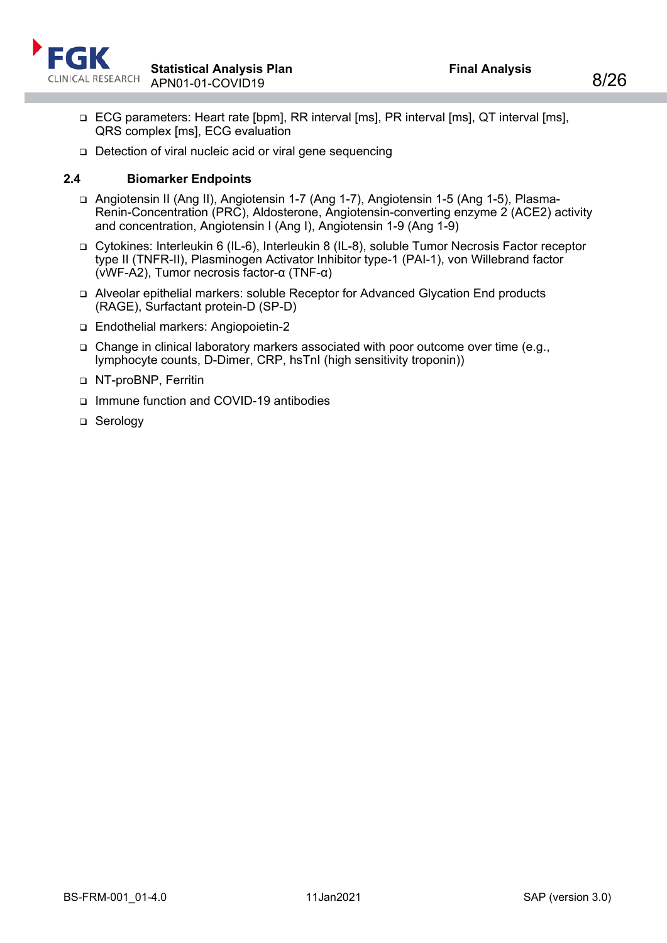

- ECG parameters: Heart rate [bpm], RR interval [ms], PR interval [ms], QT interval [ms], QRS complex [ms], ECG evaluation
- □ Detection of viral nucleic acid or viral gene sequencing

#### <span id="page-7-0"></span>**2.4 Biomarker Endpoints**

- Angiotensin II (Ang II), Angiotensin 1-7 (Ang 1-7), Angiotensin 1-5 (Ang 1-5), Plasma-Renin-Concentration (PRC), Aldosterone, Angiotensin-converting enzyme 2 (ACE2) activity and concentration, Angiotensin I (Ang I), Angiotensin 1-9 (Ang 1-9)
- Cytokines: Interleukin 6 (IL-6), Interleukin 8 (IL-8), soluble Tumor Necrosis Factor receptor type II (TNFR-II), Plasminogen Activator Inhibitor type-1 (PAI-1), von Willebrand factor (vWF-A2), Tumor necrosis factor-α (TNF-α)
- Alveolar epithelial markers: soluble Receptor for Advanced Glycation End products (RAGE), Surfactant protein-D (SP-D)
- Endothelial markers: Angiopoietin-2
- Change in clinical laboratory markers associated with poor outcome over time (e.g., lymphocyte counts, D-Dimer, CRP, hsTnI (high sensitivity troponin))
- NT-proBNP, Ferritin
- Immune function and COVID-19 antibodies
- □ Serology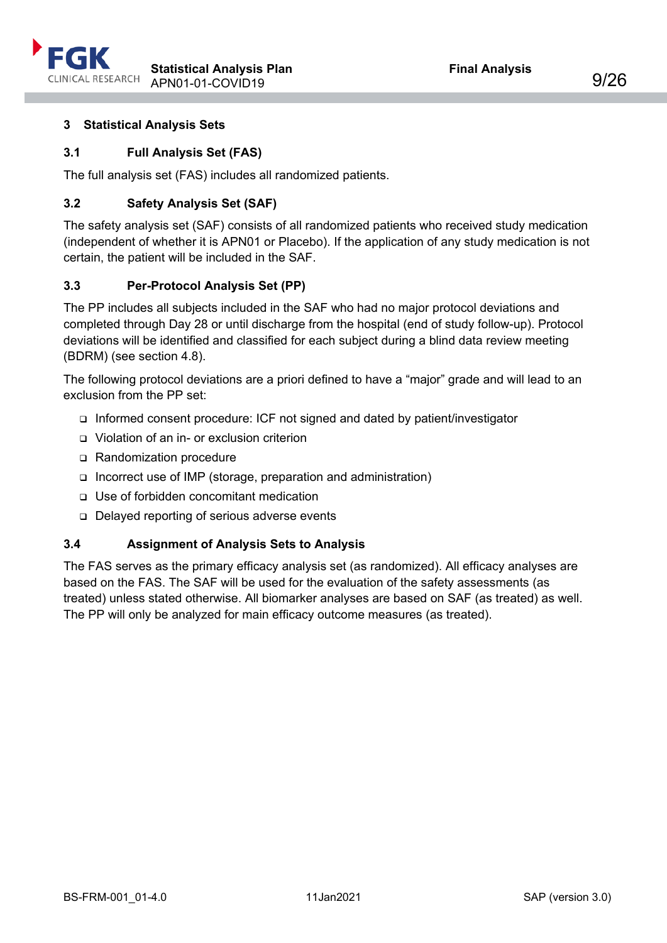

## <span id="page-8-0"></span>**3 Statistical Analysis Sets**

## <span id="page-8-1"></span>**3.1 Full Analysis Set (FAS)**

The full analysis set (FAS) includes all randomized patients.

## <span id="page-8-2"></span>**3.2 Safety Analysis Set (SAF)**

The safety analysis set (SAF) consists of all randomized patients who received study medication (independent of whether it is APN01 or Placebo). If the application of any study medication is not certain, the patient will be included in the SAF.

#### <span id="page-8-3"></span>**3.3 Per-Protocol Analysis Set (PP)**

The PP includes all subjects included in the SAF who had no major protocol deviations and completed through Day 28 or until discharge from the hospital (end of study follow-up). Protocol deviations will be identified and classified for each subject during a blind data review meeting (BDRM) (see section [4.8\)](#page-21-1).

The following protocol deviations are a priori defined to have a "major" grade and will lead to an exclusion from the PP set:

- Informed consent procedure: ICF not signed and dated by patient/investigator
- Violation of an in- or exclusion criterion
- Randomization procedure
- □ Incorrect use of IMP (storage, preparation and administration)
- Use of forbidden concomitant medication
- Delayed reporting of serious adverse events

#### <span id="page-8-4"></span>**3.4 Assignment of Analysis Sets to Analysis**

The FAS serves as the primary efficacy analysis set (as randomized). All efficacy analyses are based on the FAS. The SAF will be used for the evaluation of the safety assessments (as treated) unless stated otherwise. All biomarker analyses are based on SAF (as treated) as well. The PP will only be analyzed for main efficacy outcome measures (as treated).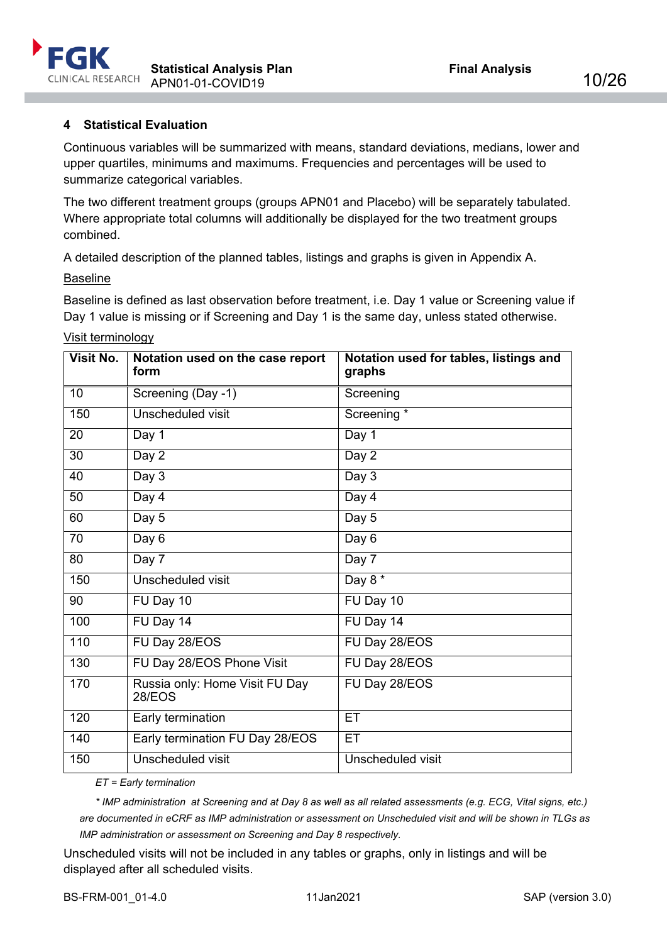

## <span id="page-9-0"></span>**4 Statistical Evaluation**

Continuous variables will be summarized with means, standard deviations, medians, lower and upper quartiles, minimums and maximums. Frequencies and percentages will be used to summarize categorical variables.

The two different treatment groups (groups APN01 and Placebo) will be separately tabulated. Where appropriate total columns will additionally be displayed for the two treatment groups combined.

A detailed description of the planned tables, listings and graphs is given in Appendix A.

Baseline

Baseline is defined as last observation before treatment, i.e. Day 1 value or Screening value if Day 1 value is missing or if Screening and Day 1 is the same day, unless stated otherwise.

| Visit No.        | Notation used on the case report<br>form        | Notation used for tables, listings and<br>graphs |
|------------------|-------------------------------------------------|--------------------------------------------------|
| 10               | Screening (Day -1)                              | Screening                                        |
| 150              | Unscheduled visit                               | Screening *                                      |
| $\overline{20}$  | Day 1                                           | Day 1                                            |
| 30               | Day 2                                           | Day 2                                            |
| 40               | Day 3                                           | Day 3                                            |
| 50               | Day 4                                           | Day 4                                            |
| 60               | Day 5                                           | Day 5                                            |
| 70               | Day 6                                           | Day 6                                            |
| 80               | Day 7                                           | Day 7                                            |
| 150              | <b>Unscheduled visit</b>                        | Day $8*$                                         |
| 90               | FU Day 10                                       | FU Day 10                                        |
| 100              | FU Day 14                                       | FU Day 14                                        |
| 110              | FU Day 28/EOS                                   | FU Day 28/EOS                                    |
| 130              | FU Day 28/EOS Phone Visit                       | FU Day 28/EOS                                    |
| 170              | Russia only: Home Visit FU Day<br><b>28/EOS</b> | FU Day 28/EOS                                    |
| 120              | Early termination                               | ET                                               |
| $\overline{140}$ | Early termination FU Day 28/EOS                 | ET                                               |
| 150              | Unscheduled visit                               | Unscheduled visit                                |

Visit terminology

*ET = Early termination*

*\* IMP administration at Screening and at Day 8 as well as all related assessments (e.g. ECG, Vital signs, etc.) are documented in eCRF as IMP administration or assessment on Unscheduled visit and will be shown in TLGs as IMP administration or assessment on Screening and Day 8 respectively.*

Unscheduled visits will not be included in any tables or graphs, only in listings and will be displayed after all scheduled visits.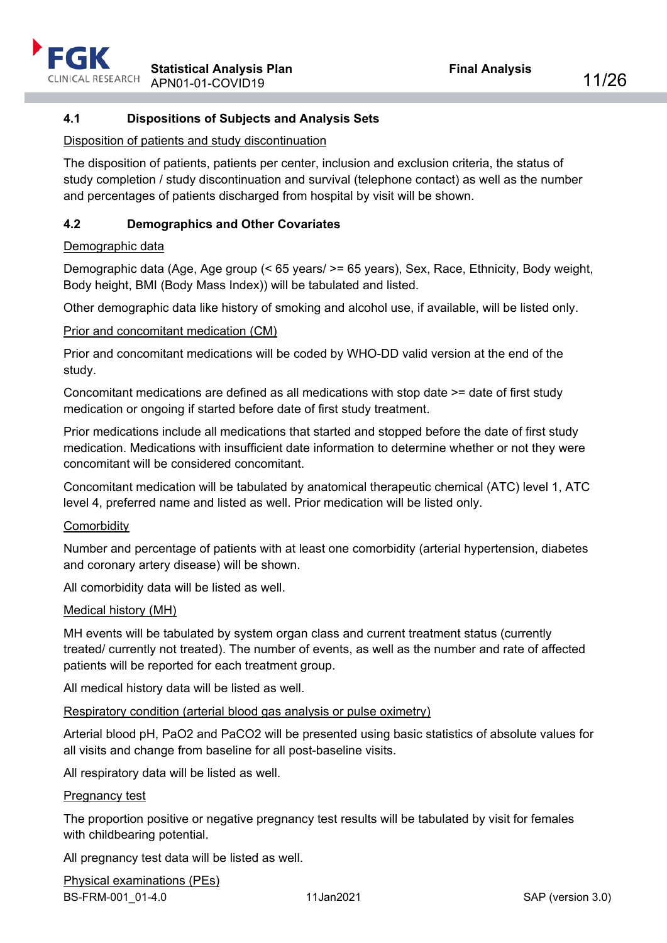## <span id="page-10-0"></span>**4.1 Dispositions of Subjects and Analysis Sets**

#### Disposition of patients and study discontinuation

The disposition of patients, patients per center, inclusion and exclusion criteria, the status of study completion / study discontinuation and survival (telephone contact) as well as the number and percentages of patients discharged from hospital by visit will be shown.

## <span id="page-10-1"></span>**4.2 Demographics and Other Covariates**

#### Demographic data

Demographic data (Age, Age group (< 65 years/ >= 65 years), Sex, Race, Ethnicity, Body weight, Body height, BMI (Body Mass Index)) will be tabulated and listed.

Other demographic data like history of smoking and alcohol use, if available, will be listed only.

## Prior and concomitant medication (CM)

Prior and concomitant medications will be coded by WHO-DD valid version at the end of the study.

Concomitant medications are defined as all medications with stop date >= date of first study medication or ongoing if started before date of first study treatment.

Prior medications include all medications that started and stopped before the date of first study medication. Medications with insufficient date information to determine whether or not they were concomitant will be considered concomitant.

Concomitant medication will be tabulated by anatomical therapeutic chemical (ATC) level 1, ATC level 4, preferred name and listed as well. Prior medication will be listed only.

#### **Comorbidity**

Number and percentage of patients with at least one comorbidity (arterial hypertension, diabetes and coronary artery disease) will be shown.

All comorbidity data will be listed as well.

#### Medical history (MH)

MH events will be tabulated by system organ class and current treatment status (currently treated/ currently not treated). The number of events, as well as the number and rate of affected patients will be reported for each treatment group.

All medical history data will be listed as well.

#### Respiratory condition (arterial blood gas analysis or pulse oximetry)

Arterial blood pH, PaO2 and PaCO2 will be presented using basic statistics of absolute values for all visits and change from baseline for all post-baseline visits.

All respiratory data will be listed as well.

#### Pregnancy test

The proportion positive or negative pregnancy test results will be tabulated by visit for females with childbearing potential.

All pregnancy test data will be listed as well.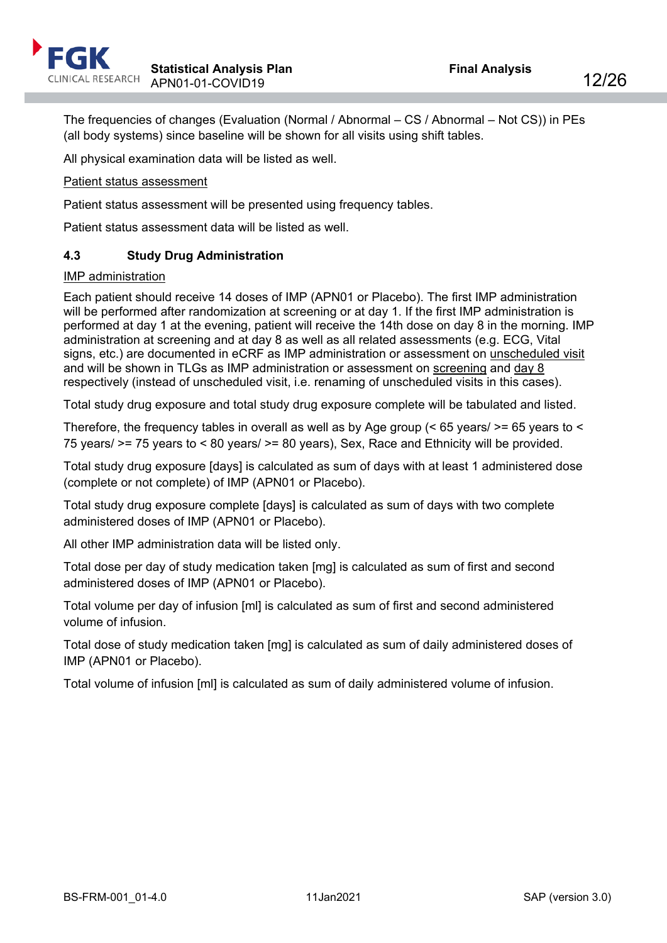The frequencies of changes (Evaluation (Normal / Abnormal – CS / Abnormal – Not CS)) in PEs (all body systems) since baseline will be shown for all visits using shift tables.

All physical examination data will be listed as well.

## Patient status assessment

Patient status assessment will be presented using frequency tables.

Patient status assessment data will be listed as well.

## <span id="page-11-0"></span>**4.3 Study Drug Administration**

#### IMP administration

Each patient should receive 14 doses of IMP (APN01 or Placebo). The first IMP administration will be performed after randomization at screening or at day 1. If the first IMP administration is performed at day 1 at the evening, patient will receive the 14th dose on day 8 in the morning. IMP administration at screening and at day 8 as well as all related assessments (e.g. ECG, Vital signs, etc.) are documented in eCRF as IMP administration or assessment on unscheduled visit and will be shown in TLGs as IMP administration or assessment on screening and day 8 respectively (instead of unscheduled visit, i.e. renaming of unscheduled visits in this cases).

Total study drug exposure and total study drug exposure complete will be tabulated and listed.

Therefore, the frequency tables in overall as well as by Age group ( $\leq 65$  years/ $\geq$ = 65 years to  $\leq$ 75 years/ >= 75 years to < 80 years/ >= 80 years), Sex, Race and Ethnicity will be provided.

Total study drug exposure [days] is calculated as sum of days with at least 1 administered dose (complete or not complete) of IMP (APN01 or Placebo).

Total study drug exposure complete [days] is calculated as sum of days with two complete administered doses of IMP (APN01 or Placebo).

All other IMP administration data will be listed only.

Total dose per day of study medication taken [mg] is calculated as sum of first and second administered doses of IMP (APN01 or Placebo).

Total volume per day of infusion [ml] is calculated as sum of first and second administered volume of infusion.

Total dose of study medication taken [mg] is calculated as sum of daily administered doses of IMP (APN01 or Placebo).

Total volume of infusion [ml] is calculated as sum of daily administered volume of infusion.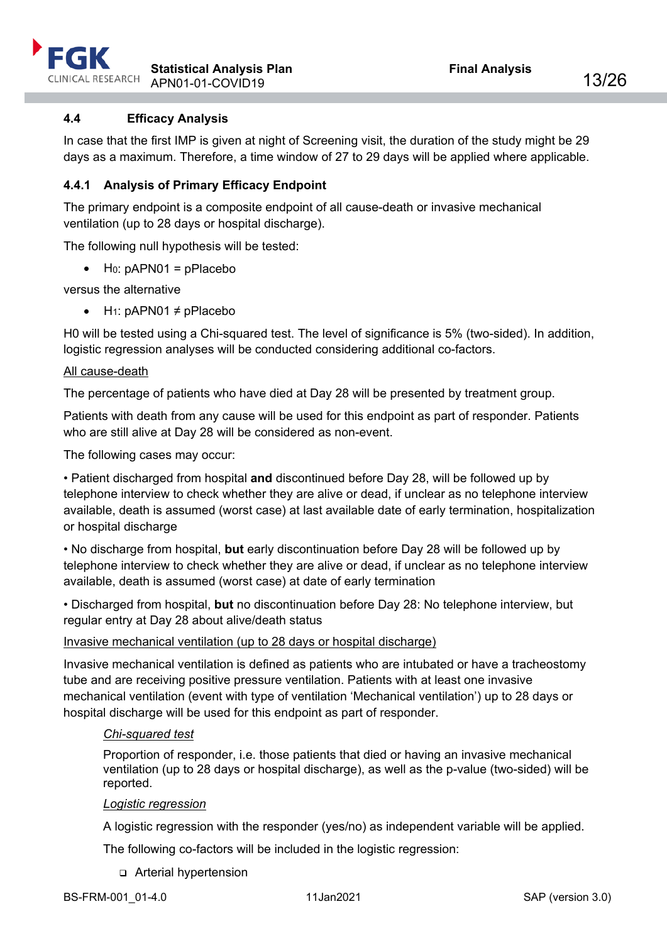

## <span id="page-12-0"></span>**4.4 Efficacy Analysis**

In case that the first IMP is given at night of Screening visit, the duration of the study might be 29 days as a maximum. Therefore, a time window of 27 to 29 days will be applied where applicable.

## <span id="page-12-1"></span>**4.4.1 Analysis of Primary Efficacy Endpoint**

The primary endpoint is a composite endpoint of all cause-death or invasive mechanical ventilation (up to 28 days or hospital discharge).

The following null hypothesis will be tested:

 $\bullet$  H<sub>0</sub>: pAPN01 = pPlacebo

versus the alternative

• H<sub>1</sub>: pAPN01  $\neq$  pPlacebo

H0 will be tested using a Chi-squared test. The level of significance is 5% (two-sided). In addition, logistic regression analyses will be conducted considering additional co-factors.

#### All cause-death

The percentage of patients who have died at Day 28 will be presented by treatment group.

Patients with death from any cause will be used for this endpoint as part of responder. Patients who are still alive at Day 28 will be considered as non-event.

The following cases may occur:

• Patient discharged from hospital **and** discontinued before Day 28, will be followed up by telephone interview to check whether they are alive or dead, if unclear as no telephone interview available, death is assumed (worst case) at last available date of early termination, hospitalization or hospital discharge

• No discharge from hospital, **but** early discontinuation before Day 28 will be followed up by telephone interview to check whether they are alive or dead, if unclear as no telephone interview available, death is assumed (worst case) at date of early termination

• Discharged from hospital, **but** no discontinuation before Day 28: No telephone interview, but regular entry at Day 28 about alive/death status

#### Invasive mechanical ventilation (up to 28 days or hospital discharge)

Invasive mechanical ventilation is defined as patients who are intubated or have a tracheostomy tube and are receiving positive pressure ventilation. Patients with at least one invasive mechanical ventilation (event with type of ventilation 'Mechanical ventilation') up to 28 days or hospital discharge will be used for this endpoint as part of responder.

#### *Chi-squared test*

Proportion of responder, i.e. those patients that died or having an invasive mechanical ventilation (up to 28 days or hospital discharge), as well as the p-value (two-sided) will be reported.

#### *Logistic regression*

A logistic regression with the responder (yes/no) as independent variable will be applied.

The following co-factors will be included in the logistic regression:

Arterial hypertension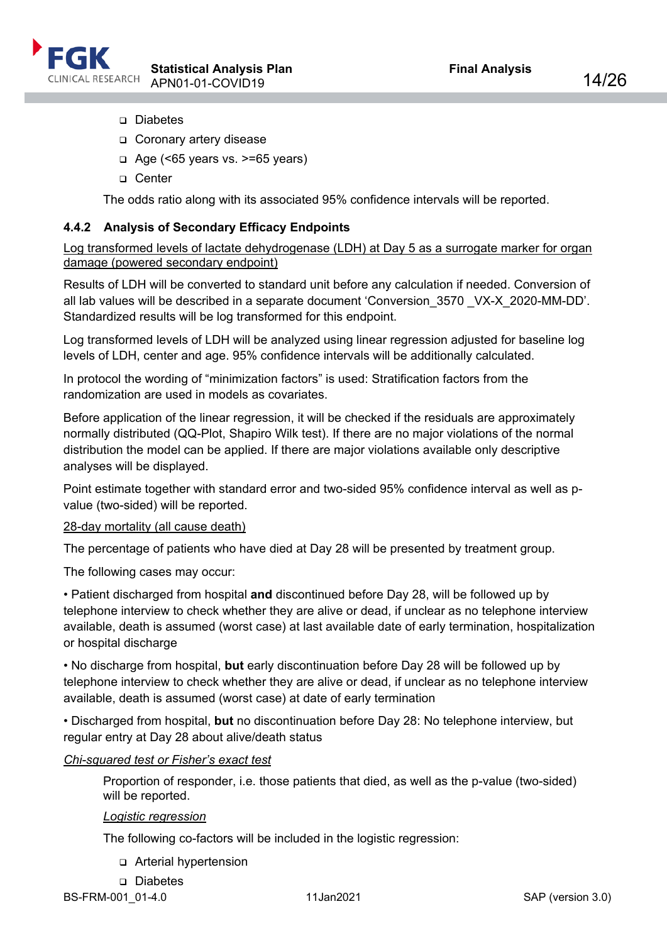

- Diabetes
- Coronary artery disease
- $\Box$  Age (<65 years vs. >=65 years)
- □ Center

The odds ratio along with its associated 95% confidence intervals will be reported.

## <span id="page-13-0"></span>**4.4.2 Analysis of Secondary Efficacy Endpoints**

Log transformed levels of lactate dehydrogenase (LDH) at Day 5 as a surrogate marker for organ damage (powered secondary endpoint)

Results of LDH will be converted to standard unit before any calculation if needed. Conversion of all lab values will be described in a separate document 'Conversion\_3570 \_VX-X\_2020-MM-DD'. Standardized results will be log transformed for this endpoint.

Log transformed levels of LDH will be analyzed using linear regression adjusted for baseline log levels of LDH, center and age. 95% confidence intervals will be additionally calculated.

In protocol the wording of "minimization factors" is used: Stratification factors from the randomization are used in models as covariates.

Before application of the linear regression, it will be checked if the residuals are approximately normally distributed (QQ-Plot, Shapiro Wilk test). If there are no major violations of the normal distribution the model can be applied. If there are major violations available only descriptive analyses will be displayed.

Point estimate together with standard error and two-sided 95% confidence interval as well as pvalue (two-sided) will be reported.

#### 28-day mortality (all cause death)

The percentage of patients who have died at Day 28 will be presented by treatment group.

The following cases may occur:

• Patient discharged from hospital **and** discontinued before Day 28, will be followed up by telephone interview to check whether they are alive or dead, if unclear as no telephone interview available, death is assumed (worst case) at last available date of early termination, hospitalization or hospital discharge

• No discharge from hospital, **but** early discontinuation before Day 28 will be followed up by telephone interview to check whether they are alive or dead, if unclear as no telephone interview available, death is assumed (worst case) at date of early termination

• Discharged from hospital, **but** no discontinuation before Day 28: No telephone interview, but regular entry at Day 28 about alive/death status

#### *Chi-squared test or Fisher's exact test*

Proportion of responder, i.e. those patients that died, as well as the p-value (two-sided) will be reported.

#### *Logistic regression*

The following co-factors will be included in the logistic regression:

- Arterial hypertension
- Diabetes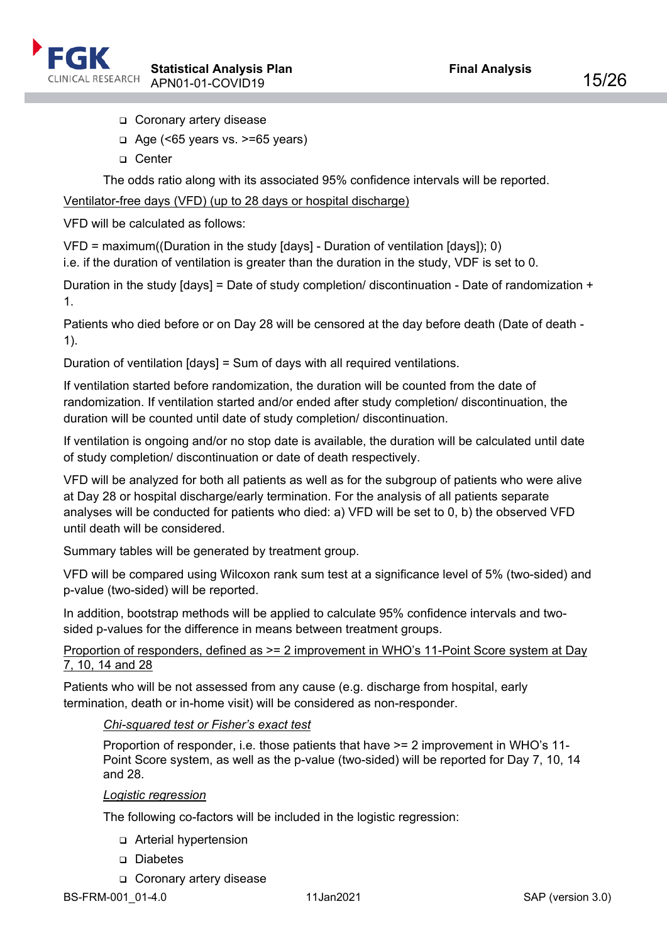

- Coronary artery disease
- $\Box$  Age (<65 years vs. >=65 years)
- □ Center

The odds ratio along with its associated 95% confidence intervals will be reported.

## Ventilator-free days (VFD) (up to 28 days or hospital discharge)

VFD will be calculated as follows:

VFD = maximum((Duration in the study [days] - Duration of ventilation [days]); 0)

i.e. if the duration of ventilation is greater than the duration in the study, VDF is set to 0.

Duration in the study [days] = Date of study completion/ discontinuation - Date of randomization + 1.

Patients who died before or on Day 28 will be censored at the day before death (Date of death - 1).

Duration of ventilation [days] = Sum of days with all required ventilations.

If ventilation started before randomization, the duration will be counted from the date of randomization. If ventilation started and/or ended after study completion/ discontinuation, the duration will be counted until date of study completion/ discontinuation.

If ventilation is ongoing and/or no stop date is available, the duration will be calculated until date of study completion/ discontinuation or date of death respectively.

VFD will be analyzed for both all patients as well as for the subgroup of patients who were alive at Day 28 or hospital discharge/early termination. For the analysis of all patients separate analyses will be conducted for patients who died: a) VFD will be set to 0, b) the observed VFD until death will be considered.

Summary tables will be generated by treatment group.

VFD will be compared using Wilcoxon rank sum test at a significance level of 5% (two-sided) and p-value (two-sided) will be reported.

In addition, bootstrap methods will be applied to calculate 95% confidence intervals and twosided p-values for the difference in means between treatment groups.

## Proportion of responders, defined as >= 2 improvement in WHO's 11-Point Score system at Day 7, 10, 14 and 28

Patients who will be not assessed from any cause (e.g. discharge from hospital, early termination, death or in-home visit) will be considered as non-responder.

## *Chi-squared test or Fisher's exact test*

Proportion of responder, i.e. those patients that have >= 2 improvement in WHO's 11- Point Score system, as well as the p-value (two-sided) will be reported for Day 7, 10, 14 and 28.

#### *Logistic regression*

The following co-factors will be included in the logistic regression:

- Arterial hypertension
- Diabetes
- Coronary artery disease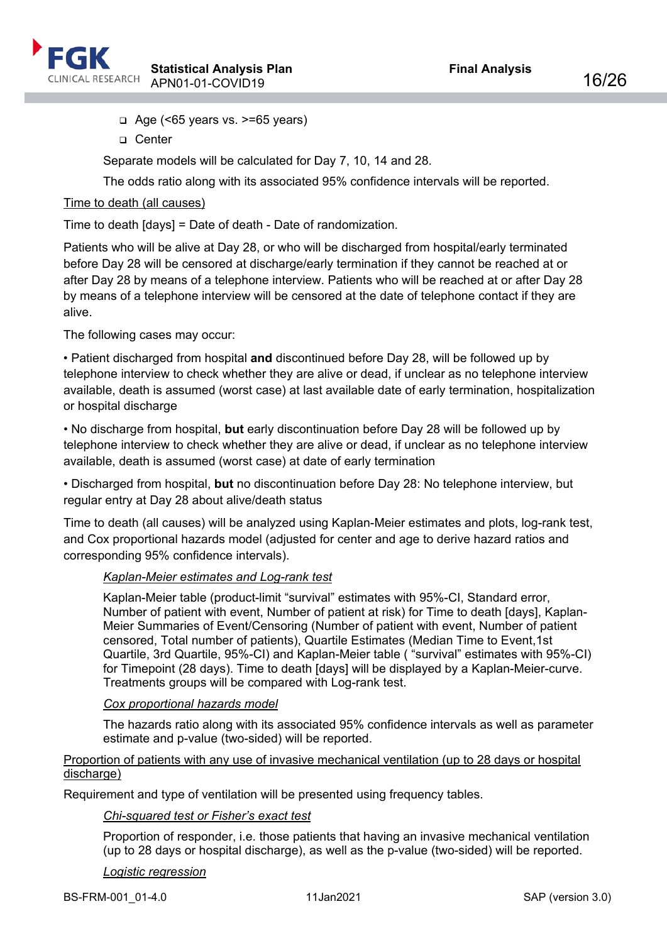

- $\Box$  Age (<65 years vs. >=65 years)
- □ Center

Separate models will be calculated for Day 7, 10, 14 and 28.

The odds ratio along with its associated 95% confidence intervals will be reported.

## Time to death (all causes)

Time to death [days] = Date of death - Date of randomization.

Patients who will be alive at Day 28, or who will be discharged from hospital/early terminated before Day 28 will be censored at discharge/early termination if they cannot be reached at or after Day 28 by means of a telephone interview. Patients who will be reached at or after Day 28 by means of a telephone interview will be censored at the date of telephone contact if they are alive.

The following cases may occur:

• Patient discharged from hospital **and** discontinued before Day 28, will be followed up by telephone interview to check whether they are alive or dead, if unclear as no telephone interview available, death is assumed (worst case) at last available date of early termination, hospitalization or hospital discharge

• No discharge from hospital, **but** early discontinuation before Day 28 will be followed up by telephone interview to check whether they are alive or dead, if unclear as no telephone interview available, death is assumed (worst case) at date of early termination

• Discharged from hospital, **but** no discontinuation before Day 28: No telephone interview, but regular entry at Day 28 about alive/death status

Time to death (all causes) will be analyzed using Kaplan-Meier estimates and plots, log-rank test, and Cox proportional hazards model (adjusted for center and age to derive hazard ratios and corresponding 95% confidence intervals).

## *Kaplan-Meier estimates and Log-rank test*

Kaplan-Meier table (product-limit "survival" estimates with 95%-CI, Standard error, Number of patient with event, Number of patient at risk) for Time to death [days], Kaplan-Meier Summaries of Event/Censoring (Number of patient with event, Number of patient censored, Total number of patients), Quartile Estimates (Median Time to Event,1st Quartile, 3rd Quartile, 95%-CI) and Kaplan-Meier table ( "survival" estimates with 95%-CI) for Timepoint (28 days). Time to death [days] will be displayed by a Kaplan-Meier-curve. Treatments groups will be compared with Log-rank test.

## *Cox proportional hazards model*

The hazards ratio along with its associated 95% confidence intervals as well as parameter estimate and p-value (two-sided) will be reported.

#### Proportion of patients with any use of invasive mechanical ventilation (up to 28 days or hospital discharge)

Requirement and type of ventilation will be presented using frequency tables.

## *Chi-squared test or Fisher's exact test*

Proportion of responder, i.e. those patients that having an invasive mechanical ventilation (up to 28 days or hospital discharge), as well as the p-value (two-sided) will be reported.

#### *Logistic regression*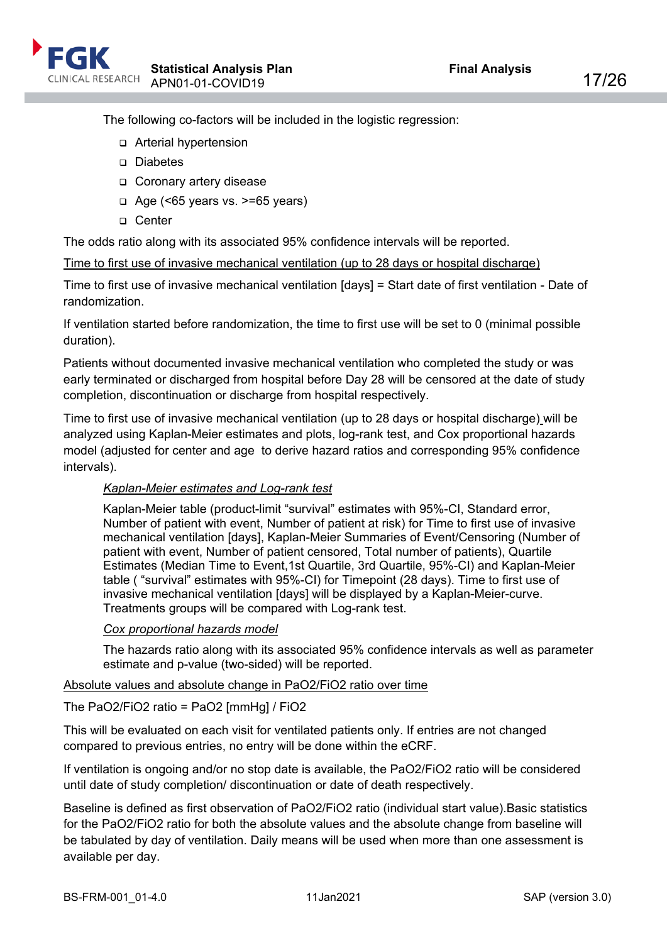

The following co-factors will be included in the logistic regression:

- Arterial hypertension
- Diabetes
- □ Coronary artery disease
- $\Box$  Age (<65 years vs. >=65 years)
- □ Center

The odds ratio along with its associated 95% confidence intervals will be reported.

Time to first use of invasive mechanical ventilation (up to 28 days or hospital discharge)

Time to first use of invasive mechanical ventilation [days] = Start date of first ventilation - Date of randomization.

If ventilation started before randomization, the time to first use will be set to 0 (minimal possible duration).

Patients without documented invasive mechanical ventilation who completed the study or was early terminated or discharged from hospital before Day 28 will be censored at the date of study completion, discontinuation or discharge from hospital respectively.

Time to first use of invasive mechanical ventilation (up to 28 days or hospital discharge) will be analyzed using Kaplan-Meier estimates and plots, log-rank test, and Cox proportional hazards model (adjusted for center and age to derive hazard ratios and corresponding 95% confidence intervals).

## *Kaplan-Meier estimates and Log-rank test*

Kaplan-Meier table (product-limit "survival" estimates with 95%-CI, Standard error, Number of patient with event, Number of patient at risk) for Time to first use of invasive mechanical ventilation [days], Kaplan-Meier Summaries of Event/Censoring (Number of patient with event, Number of patient censored, Total number of patients), Quartile Estimates (Median Time to Event,1st Quartile, 3rd Quartile, 95%-CI) and Kaplan-Meier table ( "survival" estimates with 95%-CI) for Timepoint (28 days). Time to first use of invasive mechanical ventilation [days] will be displayed by a Kaplan-Meier-curve. Treatments groups will be compared with Log-rank test.

## *Cox proportional hazards model*

The hazards ratio along with its associated 95% confidence intervals as well as parameter estimate and p-value (two-sided) will be reported.

#### Absolute values and absolute change in PaO2/FiO2 ratio over time

The PaO2/FiO2 ratio = PaO2 [mmHg] / FiO2

This will be evaluated on each visit for ventilated patients only. If entries are not changed compared to previous entries, no entry will be done within the eCRF.

If ventilation is ongoing and/or no stop date is available, the PaO2/FiO2 ratio will be considered until date of study completion/ discontinuation or date of death respectively.

Baseline is defined as first observation of PaO2/FiO2 ratio (individual start value).Basic statistics for the PaO2/FiO2 ratio for both the absolute values and the absolute change from baseline will be tabulated by day of ventilation. Daily means will be used when more than one assessment is available per day.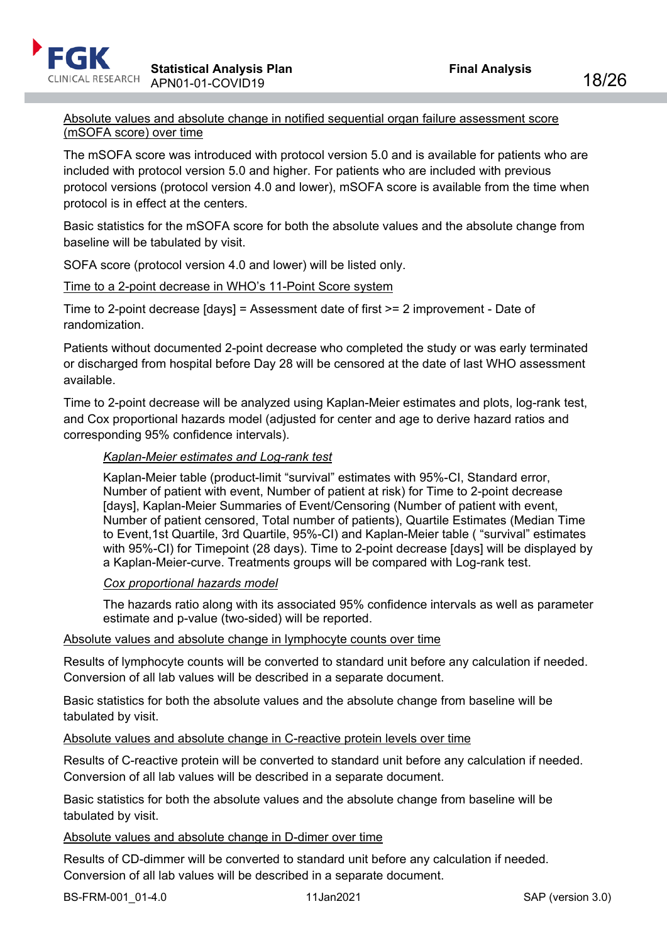## Absolute values and absolute change in notified sequential organ failure assessment score (mSOFA score) over time

The mSOFA score was introduced with protocol version 5.0 and is available for patients who are included with protocol version 5.0 and higher. For patients who are included with previous protocol versions (protocol version 4.0 and lower), mSOFA score is available from the time when protocol is in effect at the centers.

Basic statistics for the mSOFA score for both the absolute values and the absolute change from baseline will be tabulated by visit.

SOFA score (protocol version 4.0 and lower) will be listed only.

## Time to a 2-point decrease in WHO's 11-Point Score system

Time to 2-point decrease [days] = Assessment date of first >= 2 improvement - Date of randomization.

Patients without documented 2-point decrease who completed the study or was early terminated or discharged from hospital before Day 28 will be censored at the date of last WHO assessment available.

Time to 2-point decrease will be analyzed using Kaplan-Meier estimates and plots, log-rank test, and Cox proportional hazards model (adjusted for center and age to derive hazard ratios and corresponding 95% confidence intervals).

## *Kaplan-Meier estimates and Log-rank test*

Kaplan-Meier table (product-limit "survival" estimates with 95%-CI, Standard error, Number of patient with event, Number of patient at risk) for Time to 2-point decrease [days], Kaplan-Meier Summaries of Event/Censoring (Number of patient with event, Number of patient censored, Total number of patients), Quartile Estimates (Median Time to Event,1st Quartile, 3rd Quartile, 95%-CI) and Kaplan-Meier table ( "survival" estimates with 95%-CI) for Timepoint (28 days). Time to 2-point decrease [days] will be displayed by a Kaplan-Meier-curve. Treatments groups will be compared with Log-rank test.

## *Cox proportional hazards model*

The hazards ratio along with its associated 95% confidence intervals as well as parameter estimate and p-value (two-sided) will be reported.

#### Absolute values and absolute change in lymphocyte counts over time

Results of lymphocyte counts will be converted to standard unit before any calculation if needed. Conversion of all lab values will be described in a separate document.

Basic statistics for both the absolute values and the absolute change from baseline will be tabulated by visit.

Absolute values and absolute change in C-reactive protein levels over time

Results of C-reactive protein will be converted to standard unit before any calculation if needed. Conversion of all lab values will be described in a separate document.

Basic statistics for both the absolute values and the absolute change from baseline will be tabulated by visit.

#### Absolute values and absolute change in D-dimer over time

Results of CD-dimmer will be converted to standard unit before any calculation if needed. Conversion of all lab values will be described in a separate document.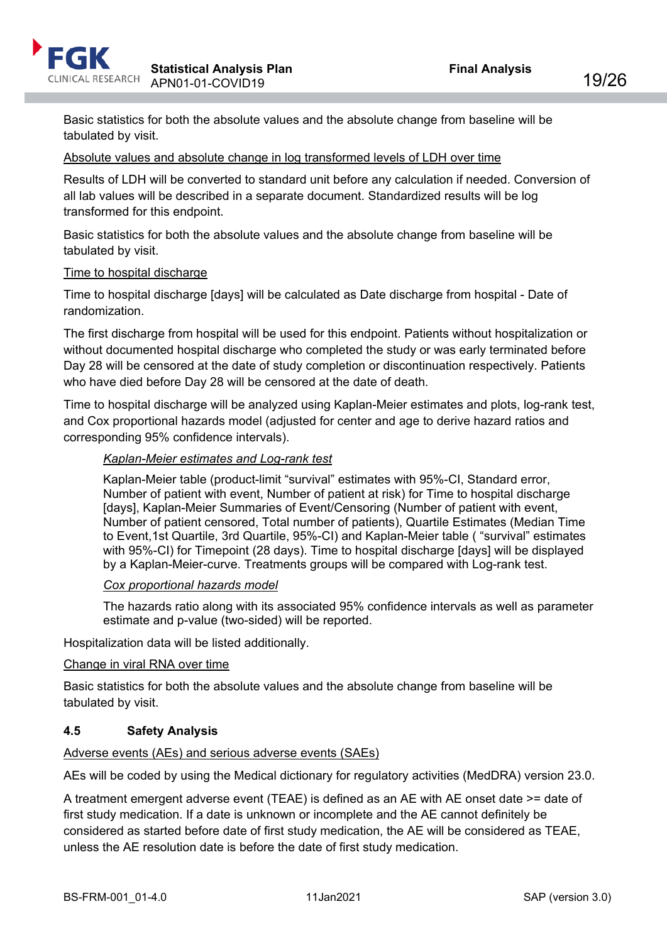

Basic statistics for both the absolute values and the absolute change from baseline will be tabulated by visit.

#### Absolute values and absolute change in log transformed levels of LDH over time

Results of LDH will be converted to standard unit before any calculation if needed. Conversion of all lab values will be described in a separate document. Standardized results will be log transformed for this endpoint.

Basic statistics for both the absolute values and the absolute change from baseline will be tabulated by visit.

#### Time to hospital discharge

Time to hospital discharge [days] will be calculated as Date discharge from hospital - Date of randomization.

The first discharge from hospital will be used for this endpoint. Patients without hospitalization or without documented hospital discharge who completed the study or was early terminated before Day 28 will be censored at the date of study completion or discontinuation respectively. Patients who have died before Day 28 will be censored at the date of death.

Time to hospital discharge will be analyzed using Kaplan-Meier estimates and plots, log-rank test, and Cox proportional hazards model (adjusted for center and age to derive hazard ratios and corresponding 95% confidence intervals).

#### *Kaplan-Meier estimates and Log-rank test*

Kaplan-Meier table (product-limit "survival" estimates with 95%-CI, Standard error, Number of patient with event, Number of patient at risk) for Time to hospital discharge [days], Kaplan-Meier Summaries of Event/Censoring (Number of patient with event, Number of patient censored, Total number of patients), Quartile Estimates (Median Time to Event,1st Quartile, 3rd Quartile, 95%-CI) and Kaplan-Meier table ( "survival" estimates with 95%-CI) for Timepoint (28 days). Time to hospital discharge [days] will be displayed by a Kaplan-Meier-curve. Treatments groups will be compared with Log-rank test.

#### *Cox proportional hazards model*

The hazards ratio along with its associated 95% confidence intervals as well as parameter estimate and p-value (two-sided) will be reported.

Hospitalization data will be listed additionally.

#### Change in viral RNA over time

Basic statistics for both the absolute values and the absolute change from baseline will be tabulated by visit.

## <span id="page-18-0"></span>**4.5 Safety Analysis**

#### Adverse events (AEs) and serious adverse events (SAEs)

AEs will be coded by using the Medical dictionary for regulatory activities (MedDRA) version 23.0.

A treatment emergent adverse event (TEAE) is defined as an AE with AE onset date >= date of first study medication. If a date is unknown or incomplete and the AE cannot definitely be considered as started before date of first study medication, the AE will be considered as TEAE, unless the AE resolution date is before the date of first study medication.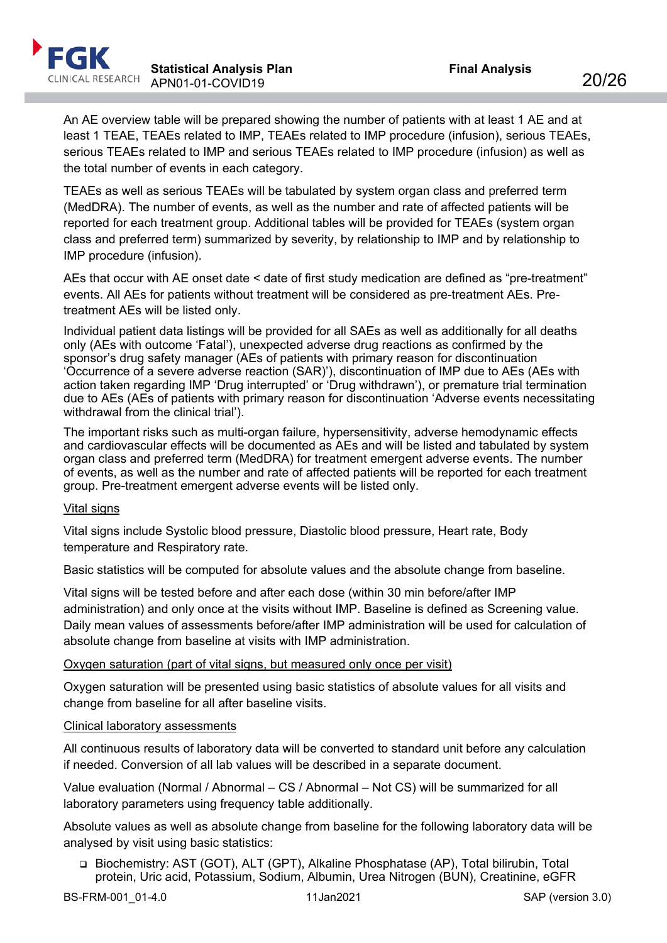

An AE overview table will be prepared showing the number of patients with at least 1 AE and at least 1 TEAE, TEAEs related to IMP, TEAEs related to IMP procedure (infusion), serious TEAEs, serious TEAEs related to IMP and serious TEAEs related to IMP procedure (infusion) as well as the total number of events in each category.

TEAEs as well as serious TEAEs will be tabulated by system organ class and preferred term (MedDRA). The number of events, as well as the number and rate of affected patients will be reported for each treatment group. Additional tables will be provided for TEAEs (system organ class and preferred term) summarized by severity, by relationship to IMP and by relationship to IMP procedure (infusion).

AEs that occur with AE onset date < date of first study medication are defined as "pre-treatment" events. All AEs for patients without treatment will be considered as pre-treatment AEs. Pretreatment AEs will be listed only.

Individual patient data listings will be provided for all SAEs as well as additionally for all deaths only (AEs with outcome 'Fatal'), unexpected adverse drug reactions as confirmed by the sponsor's drug safety manager (AEs of patients with primary reason for discontinuation 'Occurrence of a severe adverse reaction (SAR)'), discontinuation of IMP due to AEs (AEs with action taken regarding IMP 'Drug interrupted' or 'Drug withdrawn'), or premature trial termination due to AEs (AEs of patients with primary reason for discontinuation 'Adverse events necessitating withdrawal from the clinical trial').

The important risks such as multi-organ failure, hypersensitivity, adverse hemodynamic effects and cardiovascular effects will be documented as AEs and will be listed and tabulated by system organ class and preferred term (MedDRA) for treatment emergent adverse events. The number of events, as well as the number and rate of affected patients will be reported for each treatment group. Pre-treatment emergent adverse events will be listed only.

## Vital signs

Vital signs include Systolic blood pressure, Diastolic blood pressure, Heart rate, Body temperature and Respiratory rate.

Basic statistics will be computed for absolute values and the absolute change from baseline.

Vital signs will be tested before and after each dose (within 30 min before/after IMP administration) and only once at the visits without IMP. Baseline is defined as Screening value. Daily mean values of assessments before/after IMP administration will be used for calculation of absolute change from baseline at visits with IMP administration.

#### Oxygen saturation (part of vital signs, but measured only once per visit)

Oxygen saturation will be presented using basic statistics of absolute values for all visits and change from baseline for all after baseline visits.

#### Clinical laboratory assessments

All continuous results of laboratory data will be converted to standard unit before any calculation if needed. Conversion of all lab values will be described in a separate document.

Value evaluation (Normal / Abnormal – CS / Abnormal – Not CS) will be summarized for all laboratory parameters using frequency table additionally.

Absolute values as well as absolute change from baseline for the following laboratory data will be analysed by visit using basic statistics:

 Biochemistry: AST (GOT), ALT (GPT), Alkaline Phosphatase (AP), Total bilirubin, Total protein, Uric acid, Potassium, Sodium, Albumin, Urea Nitrogen (BUN), Creatinine, eGFR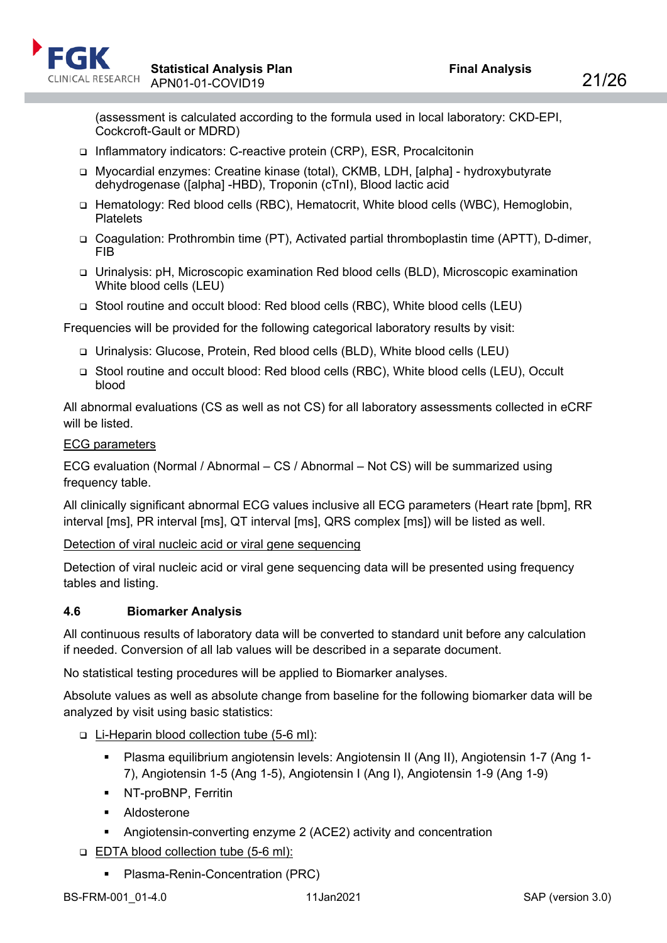

(assessment is calculated according to the formula used in local laboratory: CKD-EPI, Cockcroft-Gault or MDRD)

- □ Inflammatory indicators: C-reactive protein (CRP), ESR, Procalcitonin
- Myocardial enzymes: Creatine kinase (total), CKMB, LDH, [alpha] hydroxybutyrate dehydrogenase ([alpha] -HBD), Troponin (cTnI), Blood lactic acid
- □ Hematology: Red blood cells (RBC), Hematocrit, White blood cells (WBC), Hemoglobin, **Platelets**
- Coagulation: Prothrombin time (PT), Activated partial thromboplastin time (APTT), D-dimer, FIB
- Urinalysis: pH, Microscopic examination Red blood cells (BLD), Microscopic examination White blood cells (LEU)
- Stool routine and occult blood: Red blood cells (RBC), White blood cells (LEU)

Frequencies will be provided for the following categorical laboratory results by visit:

- Urinalysis: Glucose, Protein, Red blood cells (BLD), White blood cells (LEU)
- □ Stool routine and occult blood: Red blood cells (RBC), White blood cells (LEU), Occult blood

All abnormal evaluations (CS as well as not CS) for all laboratory assessments collected in eCRF will be listed.

#### ECG parameters

ECG evaluation (Normal / Abnormal – CS / Abnormal – Not CS) will be summarized using frequency table.

All clinically significant abnormal ECG values inclusive all ECG parameters (Heart rate [bpm], RR interval [ms], PR interval [ms], QT interval [ms], QRS complex [ms]) will be listed as well.

Detection of viral nucleic acid or viral gene sequencing

Detection of viral nucleic acid or viral gene sequencing data will be presented using frequency tables and listing.

## <span id="page-20-0"></span>**4.6 Biomarker Analysis**

All continuous results of laboratory data will be converted to standard unit before any calculation if needed. Conversion of all lab values will be described in a separate document.

No statistical testing procedures will be applied to Biomarker analyses.

Absolute values as well as absolute change from baseline for the following biomarker data will be analyzed by visit using basic statistics:

## Li-Heparin blood collection tube (5-6 ml):

- Plasma equilibrium angiotensin levels: Angiotensin II (Ang II), Angiotensin 1-7 (Ang 1- 7), Angiotensin 1-5 (Ang 1-5), Angiotensin I (Ang I), Angiotensin 1-9 (Ang 1-9)
- NT-proBNP, Ferritin
- **Aldosterone**
- Angiotensin-converting enzyme 2 (ACE2) activity and concentration
- EDTA blood collection tube (5-6 ml):
	- **Plasma-Renin-Concentration (PRC)**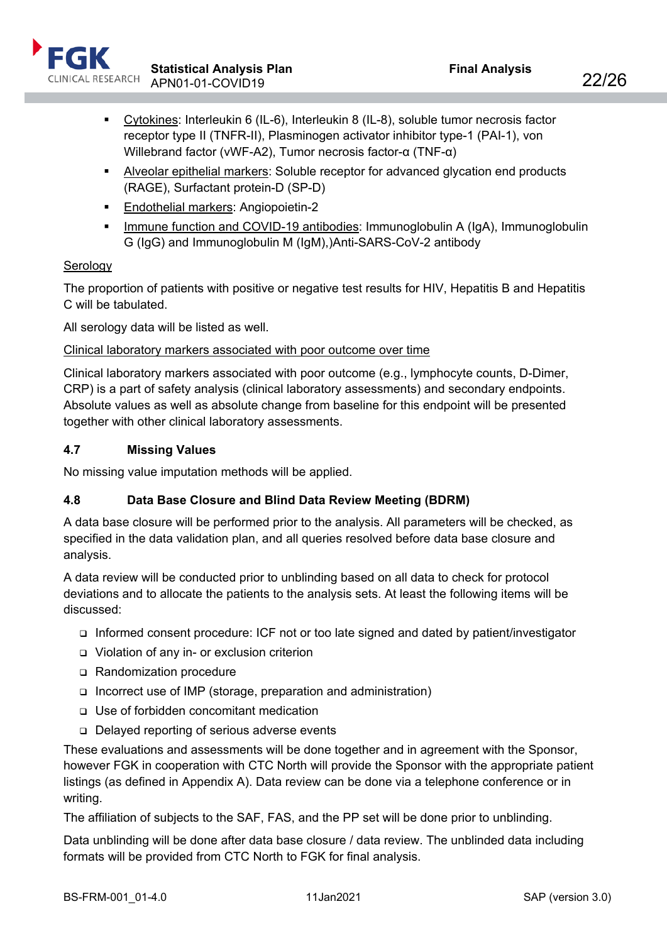

- Cytokines: Interleukin 6 (IL-6), Interleukin 8 (IL-8), soluble tumor necrosis factor receptor type II (TNFR-II), Plasminogen activator inhibitor type-1 (PAI-1), von Willebrand factor (vWF-A2), Tumor necrosis factor-α (TNF-α)
- Alveolar epithelial markers: Soluble receptor for advanced glycation end products (RAGE), Surfactant protein-D (SP-D)
- **Endothelial markers: Angiopoietin-2**
- Immune function and COVID-19 antibodies: Immunoglobulin A (IgA), Immunoglobulin G (IgG) and Immunoglobulin M (IgM),)Anti-SARS-CoV-2 antibody

## **Serology**

The proportion of patients with positive or negative test results for HIV, Hepatitis B and Hepatitis C will be tabulated.

All serology data will be listed as well.

## Clinical laboratory markers associated with poor outcome over time

Clinical laboratory markers associated with poor outcome (e.g., lymphocyte counts, D-Dimer, CRP) is a part of safety analysis (clinical laboratory assessments) and secondary endpoints. Absolute values as well as absolute change from baseline for this endpoint will be presented together with other clinical laboratory assessments.

## <span id="page-21-0"></span>**4.7 Missing Values**

No missing value imputation methods will be applied.

# <span id="page-21-1"></span>**4.8 Data Base Closure and Blind Data Review Meeting (BDRM)**

A data base closure will be performed prior to the analysis. All parameters will be checked, as specified in the data validation plan, and all queries resolved before data base closure and analysis.

A data review will be conducted prior to unblinding based on all data to check for protocol deviations and to allocate the patients to the analysis sets. At least the following items will be discussed:

- Informed consent procedure: ICF not or too late signed and dated by patient/investigator
- Violation of any in- or exclusion criterion
- □ Randomization procedure
- Incorrect use of IMP (storage, preparation and administration)
- Use of forbidden concomitant medication
- □ Delayed reporting of serious adverse events

These evaluations and assessments will be done together and in agreement with the Sponsor, however FGK in cooperation with CTC North will provide the Sponsor with the appropriate patient listings (as defined in Appendix A). Data review can be done via a telephone conference or in writing.

The affiliation of subjects to the SAF, FAS, and the PP set will be done prior to unblinding.

Data unblinding will be done after data base closure / data review. The unblinded data including formats will be provided from CTC North to FGK for final analysis.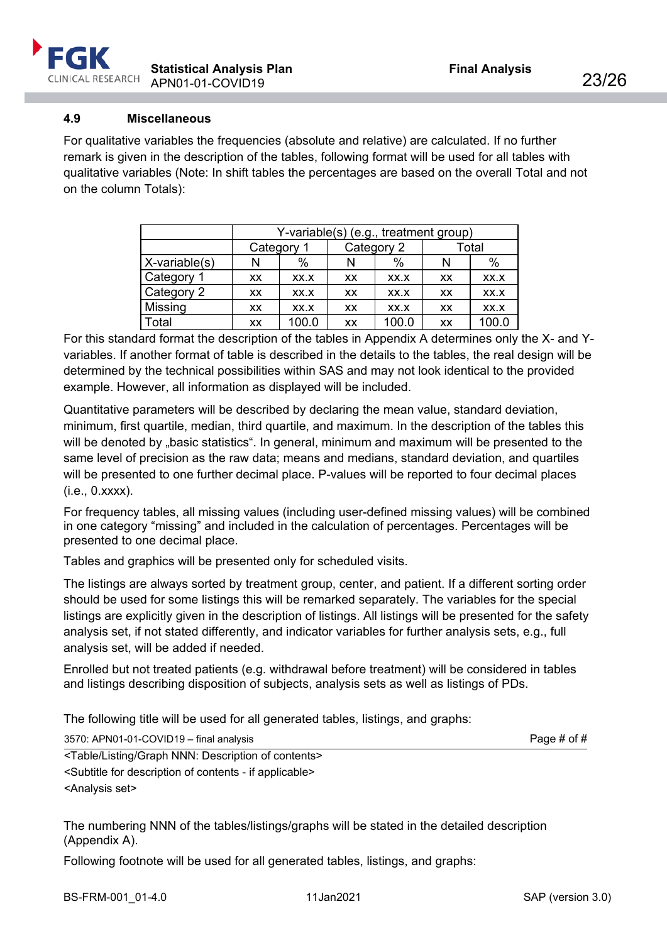

## <span id="page-22-0"></span>**4.9 Miscellaneous**

For qualitative variables the frequencies (absolute and relative) are calculated. If no further remark is given in the description of the tables, following format will be used for all tables with qualitative variables (Note: In shift tables the percentages are based on the overall Total and not on the column Totals):

|               | Y-variable(s) (e.g., treatment group) |       |            |       |       |       |
|---------------|---------------------------------------|-------|------------|-------|-------|-------|
|               | Category 1                            |       | Category 2 |       | Total |       |
| X-variable(s) | N                                     | $\%$  |            | $\%$  | N     | %     |
| Category 1    | <b>XX</b>                             | XX.X  | XX         | XX.X  | XX    | XX.X  |
| Category 2    | XX                                    | XX.X  | <b>XX</b>  | XX.X  | XX    | XX.X  |
| Missing       | XX                                    | XX.X  | XX         | XX.X  | XX    | XX.X  |
| Total         | XX                                    | 100.0 | XX         | 100.0 | XX    | 100.0 |

For this standard format the description of the tables in Appendix A determines only the X- and Yvariables. If another format of table is described in the details to the tables, the real design will be determined by the technical possibilities within SAS and may not look identical to the provided example. However, all information as displayed will be included.

Quantitative parameters will be described by declaring the mean value, standard deviation, minimum, first quartile, median, third quartile, and maximum. In the description of the tables this will be denoted by "basic statistics". In general, minimum and maximum will be presented to the same level of precision as the raw data; means and medians, standard deviation, and quartiles will be presented to one further decimal place. P-values will be reported to four decimal places (i.e., 0.xxxx).

For frequency tables, all missing values (including user-defined missing values) will be combined in one category "missing" and included in the calculation of percentages. Percentages will be presented to one decimal place.

Tables and graphics will be presented only for scheduled visits.

The listings are always sorted by treatment group, center, and patient. If a different sorting order should be used for some listings this will be remarked separately. The variables for the special listings are explicitly given in the description of listings. All listings will be presented for the safety analysis set, if not stated differently, and indicator variables for further analysis sets, e.g., full analysis set, will be added if needed.

Enrolled but not treated patients (e.g. withdrawal before treatment) will be considered in tables and listings describing disposition of subjects, analysis sets as well as listings of PDs.

The following title will be used for all generated tables, listings, and graphs:

3570: APN01-01-COVID19 – final analysis Page # of #

<Table/Listing/Graph NNN: Description of contents> <Subtitle for description of contents - if applicable> <Analysis set>

The numbering NNN of the tables/listings/graphs will be stated in the detailed description (Appendix A).

Following footnote will be used for all generated tables, listings, and graphs: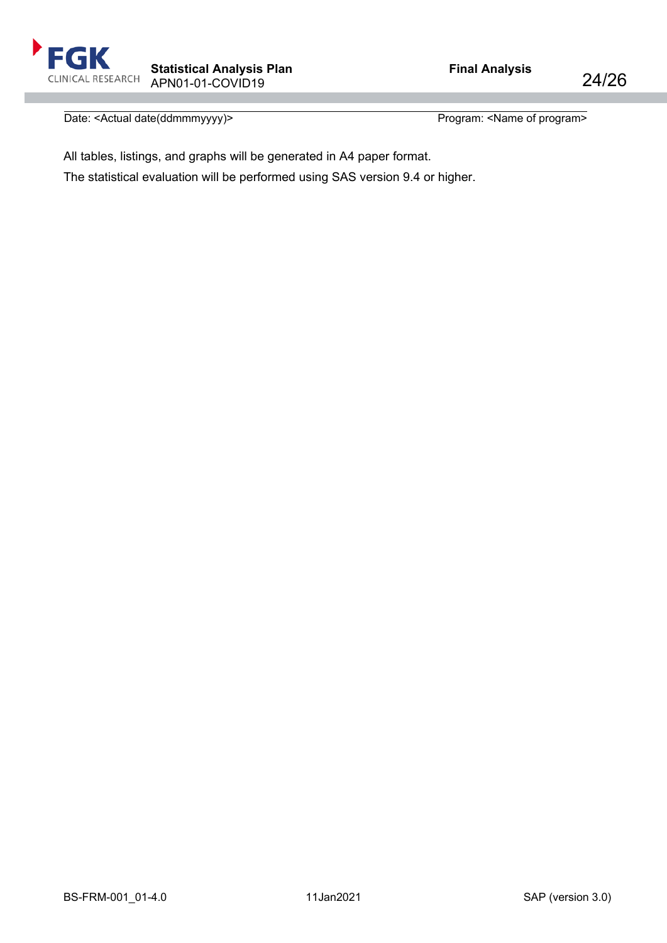Date: <Actual date(ddmmmyyyy)> Program: <Name of program>

All tables, listings, and graphs will be generated in A4 paper format.

The statistical evaluation will be performed using SAS version 9.4 or higher.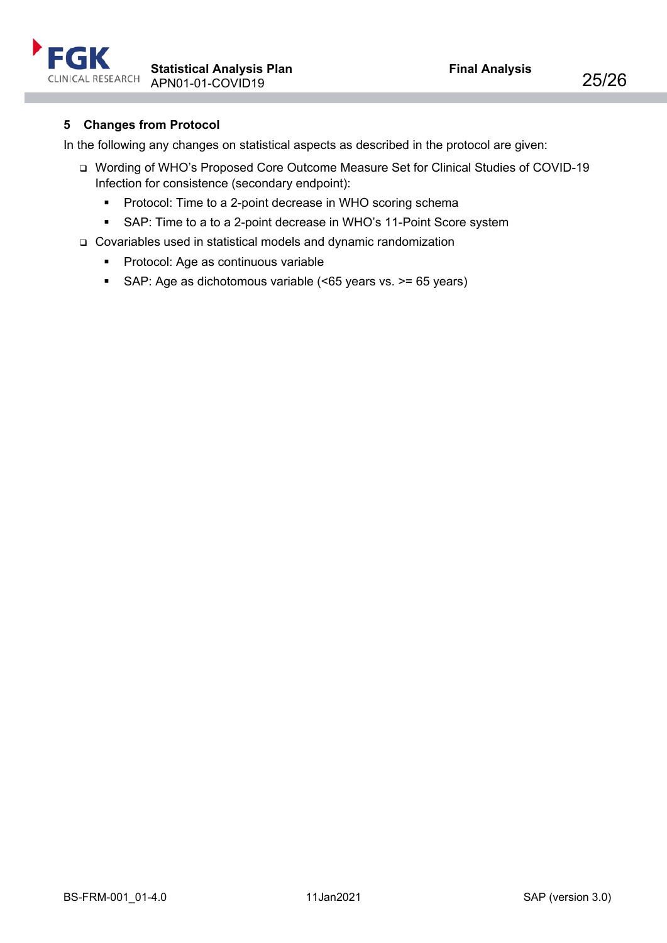

# <span id="page-24-0"></span>**5 Changes from Protocol**

In the following any changes on statistical aspects as described in the protocol are given:

- Wording of WHO's Proposed Core Outcome Measure Set for Clinical Studies of COVID-19 Infection for consistence (secondary endpoint):
	- **•** Protocol: Time to a 2-point decrease in WHO scoring schema
	- SAP: Time to a to a 2-point decrease in WHO's 11-Point Score system
- Covariables used in statistical models and dynamic randomization
	- **Protocol: Age as continuous variable**
	- SAP: Age as dichotomous variable (<65 years vs. >= 65 years)